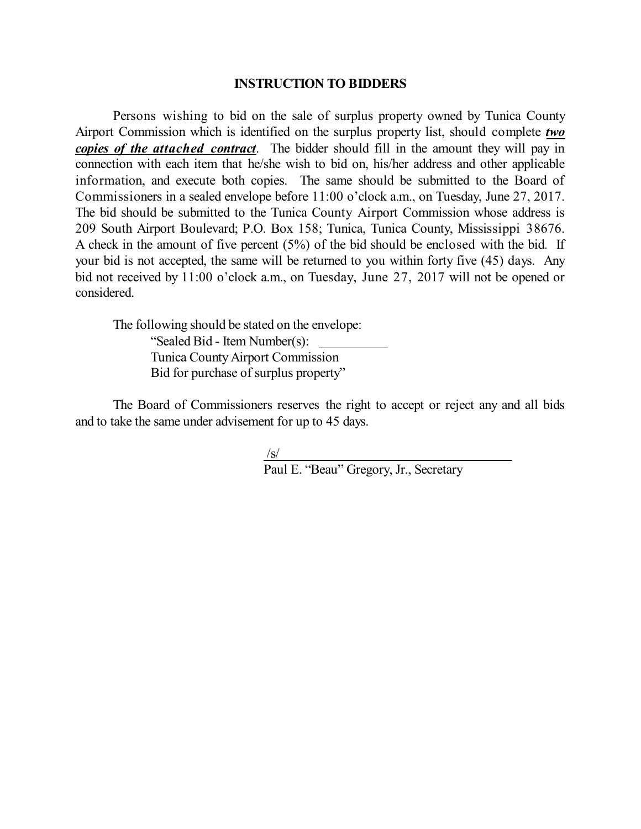## **INSTRUCTION TO BIDDERS**

Persons wishing to bid on the sale of surplus property owned by Tunica County Airport Commission which is identified on the surplus property list, should complete *two copies of the attached contract*. The bidder should fill in the amount they will pay in connection with each item that he/she wish to bid on, his/her address and other applicable information, and execute both copies. The same should be submitted to the Board of Commissioners in a sealed envelope before 11:00 o'clock a.m., on Tuesday, June 27, 2017. The bid should be submitted to the Tunica County Airport Commission whose address is 209 South Airport Boulevard; P.O. Box 158; Tunica, Tunica County, Mississippi 38676. A check in the amount of five percent (5%) of the bid should be enclosed with the bid. If your bid is not accepted, the same will be returned to you within forty five (45) days. Any bid not received by 11:00 o'clock a.m., on Tuesday, June 27, 2017 will not be opened or considered.

The following should be stated on the envelope: "Sealed Bid - Item Number(s): Tunica CountyAirport Commission Bid for purchase of surplus property"

The Board of Commissioners reserves the right to accept or reject any and all bids and to take the same under advisement for up to 45 days.

/s/

Paul E. "Beau" Gregory, Jr., Secretary